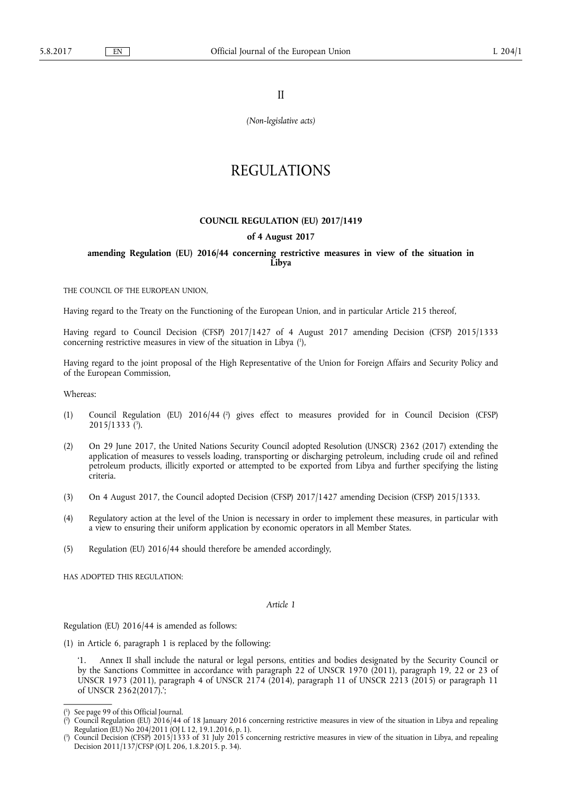II

*(Non-legislative acts)* 

# REGULATIONS

#### **COUNCIL REGULATION (EU) 2017/1419**

### **of 4 August 2017**

## **amending Regulation (EU) 2016/44 concerning restrictive measures in view of the situation in Libya**

THE COUNCIL OF THE EUROPEAN UNION,

Having regard to the Treaty on the Functioning of the European Union, and in particular Article 215 thereof,

Having regard to Council Decision (CFSP) 2017/1427 of 4 August 2017 amending Decision (CFSP) 2015/1333 concerning restrictive measures in view of the situation in Libya ( 1 ),

Having regard to the joint proposal of the High Representative of the Union for Foreign Affairs and Security Policy and of the European Commission,

Whereas:

- (1) Council Regulation (EU) 2016/44 ( 2 ) gives effect to measures provided for in Council Decision (CFSP) 2015/1333 ( 3 ).
- (2) On 29 June 2017, the United Nations Security Council adopted Resolution (UNSCR) 2362 (2017) extending the application of measures to vessels loading, transporting or discharging petroleum, including crude oil and refined petroleum products, illicitly exported or attempted to be exported from Libya and further specifying the listing criteria.
- (3) On 4 August 2017, the Council adopted Decision (CFSP) 2017/1427 amending Decision (CFSP) 2015/1333.
- (4) Regulatory action at the level of the Union is necessary in order to implement these measures, in particular with a view to ensuring their uniform application by economic operators in all Member States.
- (5) Regulation (EU) 2016/44 should therefore be amended accordingly,

HAS ADOPTED THIS REGULATION:

*Article 1* 

Regulation (EU) 2016/44 is amended as follows:

(1) in Article 6, paragraph 1 is replaced by the following:

Annex II shall include the natural or legal persons, entities and bodies designated by the Security Council or by the Sanctions Committee in accordance with paragraph 22 of UNSCR 1970 (2011), paragraph 19, 22 or 23 of UNSCR 1973 (2011), paragraph 4 of UNSCR 2174 (2014), paragraph 11 of UNSCR 2213 (2015) or paragraph 11 of UNSCR 2362(2017).';

<sup>(</sup> 1 ) See page 99 of this Official Journal.

 $(2)$ ) Council Regulation (EU) 2016/44 of 18 January 2016 concerning restrictive measures in view of the situation in Libya and repealing Regulation (EU) No 204/2011 (OJ L 12, 19.1.2016, p. 1).

<sup>(</sup> 3 ) Council Decision (CFSP) 2015/1333 of 31 July 2015 concerning restrictive measures in view of the situation in Libya, and repealing Decision 2011/137/CFSP (OJ L 206, 1.8.2015. p. 34).